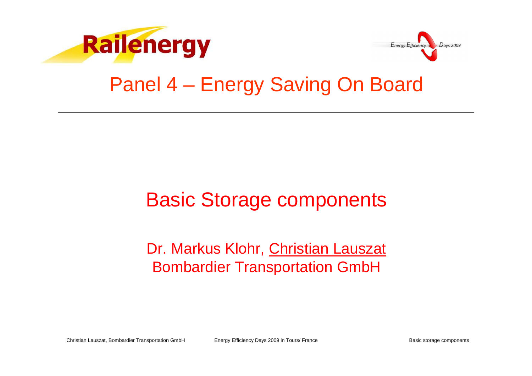



### Panel 4 – Energy Saving On Board

### Basic Storage components

### Dr. Markus Klohr, Christian Lauszat Bombardier Transportation GmbH

Christian Lauszat, Bombardier Transportation GmbHEnergy Efficiency Days 2009 in Tours/ France **Basic storage components** Basic storage components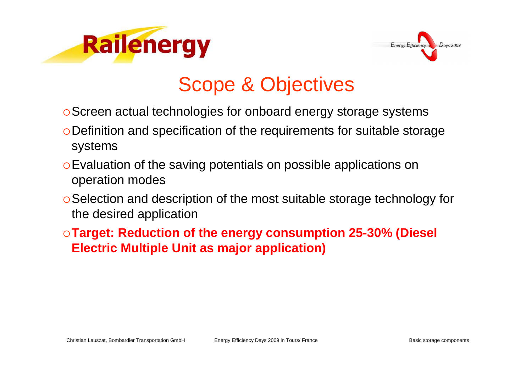



# Scope & Objectives

- Screen actual technologies for onboard energy storage systems
- Definition and specification of the requirements for suitable storage systems
- Evaluation of the saving potentials on possible applications on operation modes
- Selection and description of the most suitable storage technology for the desired application
- **Target: Reduction of the energy consumption 25-30% (Diesel Electric Multiple Unit as major application)**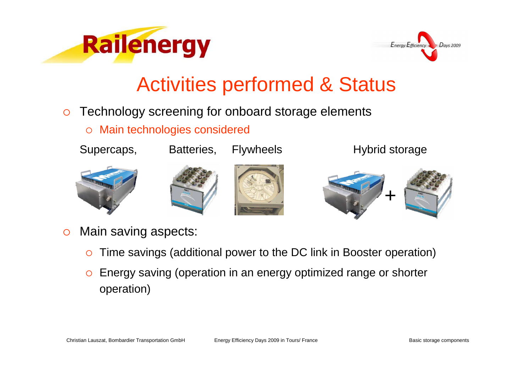



- $\circ$  Technology screening for onboard storage elements
	- $\Omega$ Main technologies considered











- $\circ$  Main saving aspects:
	- $\circ$ Time savings (additional power to the DC link in Booster operation)
	- $\circ$  Energy saving (operation in an energy optimized range or shorter operation)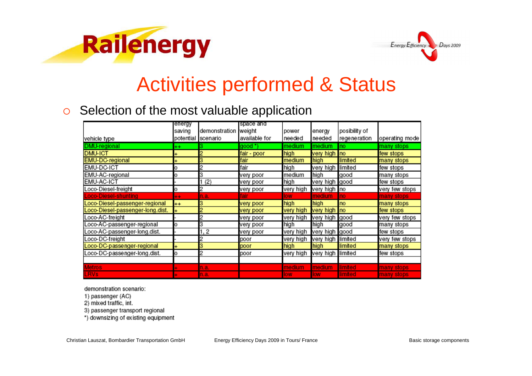



#### $\circ$ Selection of the most valuable application

|                                  | energy    |                      | space and     |            |                |                 |                |
|----------------------------------|-----------|----------------------|---------------|------------|----------------|-----------------|----------------|
|                                  | saving    | demonstration weight |               | power      | energy         | posibility of   |                |
| vehicle type                     | potential | scenario             | available for | needed     | needed         | regeneration    | operating mode |
| DMU-regional                     | $^{++}$   |                      | good *)       | medium     | medium         | Ino             | many stops     |
| <b>DMU-ICT</b>                   |           |                      | fair - poor   | high       | very high no   |                 | few stops      |
| <b>EMU-DC-regional</b>           |           | 3                    | fair          | medium     | high           | limited         | many stops     |
| <b>EMU-DC-ICT</b>                | 0         | 2                    | fair          | high       | very high      | limited         | few stops      |
| EMU-AC-regional                  | Ο         | 3                    | very poor     | medium     | high           | good            | many stops     |
| EMU-AC-ICT                       |           | 1(2)                 | very poor     | high       | very high good |                 | few stops      |
| Loco-Diesel-freight              | o         | 2                    | very poor     | very high  | very high no   |                 | very few stops |
| <b>Loco-Diesel-shunting</b>      | $\ddot{}$ | n.a.                 | fair          | low        | medium         | Ino             | many stops     |
| Loco-Diesel-passenger-regional   | $^{++}$   | з                    | very poor     | high       | high           | no              | many stops     |
| Loco-Diesel-passenger-long.dist. |           | 2                    | very poor     | very high  | very high      | no              | few stops      |
| Loco-AC-freight                  |           | 2                    | very poor     | very high  | very high good |                 | very few stops |
| Loco-AC-passenger-regional       | o         | 3                    | very poor     | high       | high           | good            | many stops     |
| Loco-AC-passenger-long.dist.     |           | 1, 2                 | very poor     | very high  | very high      | good            | few stops      |
| Loco-DC-freight                  |           | 2                    | poor          | very high  | very high      | limited         | very few stops |
| Loco-DC-passenger-regional       | +         | 3                    | poor          | high       | high           | limited         | many stops     |
| Loco-DC-passenger-long.dist.     | o         | 2                    | poor          | very high  | very high      | limited         | few stops      |
|                                  |           |                      |               |            |                |                 |                |
| <b>Metros</b>                    |           | n.a.                 |               | medium     | medium.        | <b>Ilimited</b> | many stops     |
| <b>LRVs</b>                      |           | n.a.                 |               | <b>low</b> | <b>Iow</b>     | limited         | many stops     |

demonstration scenario:

- 1) passenger (AC)
- 2) mixed traffic, int.

3) passenger transport regional

\*) downsizing of existing equipment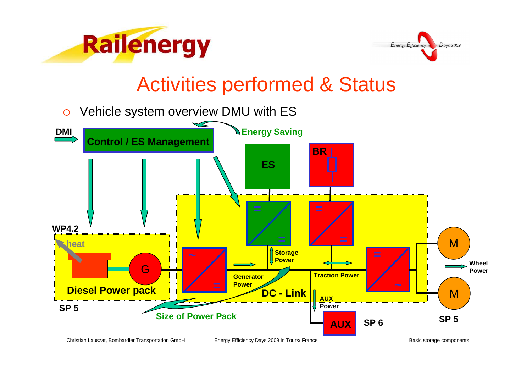



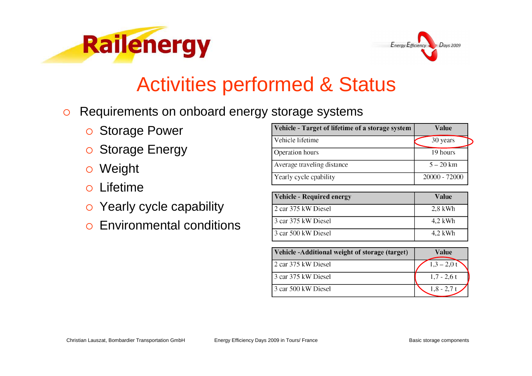



- $\circ$  Requirements on onboard energy storage systems
	- o Storage Power
	- o Storage Energy
	- Weight
	- $\Omega$ Lifetime
	- o Yearly cycle capability
	- $\Omega$ Environmental conditions

| Vehicle - Target of lifetime of a storage system | Value         |
|--------------------------------------------------|---------------|
| Vehicle lifetime                                 | 30 years      |
| <b>Operation</b> hours                           | 19 hours      |
| Average traveling distance                       | $5 - 20$ km   |
| Yearly cycle cpability                           | 20000 - 72000 |

| <b>Vehicle - Required energy</b> | Value     |
|----------------------------------|-----------|
| l 2 car 375 kW Diesel            | $2,8$ kWh |
| 13 car 375 kW Diesel             | $4.2$ kWh |
| l 3 car 500 kW Diesel            | $4.2$ kWh |

| Vehicle-Additional weight of storage (target) | Value         |
|-----------------------------------------------|---------------|
| 2 car 375 kW Diesel                           | $1,3 - 2,0$ t |
| 13 car 375 kW Diesel                          | $1.7 - 2.6t$  |
| 3 car 500 kW Diesel                           | $1,8 - 2,7$ t |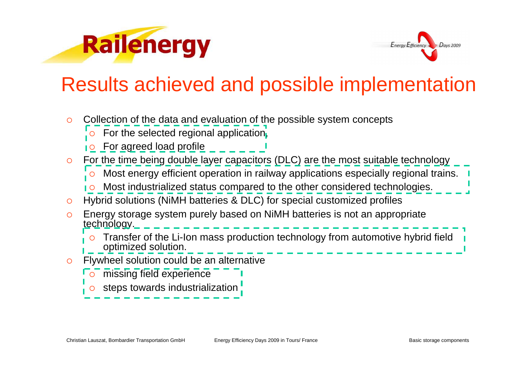



## Results achieved and possible implementation

 $\circ$  Collection of the data and evaluation of the possible system concepts **o** For the selected regional application, <u>o For agreed load profile</u> О For the time being double layer capacitors (DLC) are the most suitable technology  $\circ$  Most energy efficient operation in railway applications especially regional trains. О Most industrialized status compared to the other considered technologies.  $\circ$  Hybrid solutions (NiMH batteries & DLC) for special customized profiles  $\Omega$  Energy storage system purely based on NiMH batteries is not an appropriate technology. О Transfer of the Li-Ion mass production technology from automotive hybrid field optimized solution. $\Omega$  Flywheel solution could be an alternative  $\circ$  missing field experience О steps towards industrialization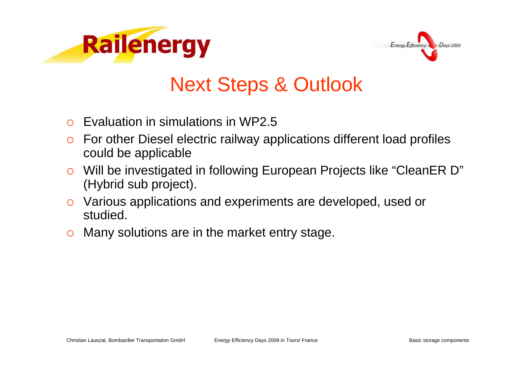



# Next Steps & Outlook

- $\bigcap$ Evaluation in simulations in WP2.5
- $\circ$  For other Diesel electric railway applications different load profiles could be applicable
- o Will be investigated in following European Projects like "CleanER D"  $\overline{O}$ (Hybrid sub project).
- o Various applications and experiments are developed, used or studied.
- $\circ$  Many solutions are in the market entry stage.